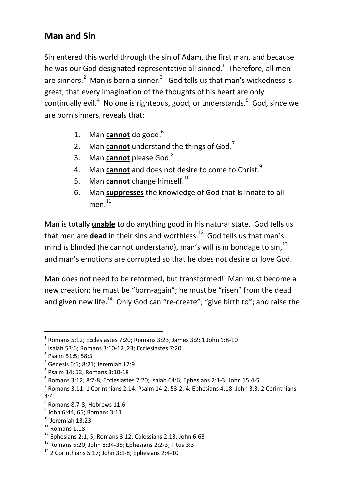## **Man and Sin**

Sin entered this world through the sin of Adam, the first man, and because he was our God designated representative all sinned.<sup>1</sup> Therefore, all men are sinners. $^2$  Man is born a sinner. $^3$  God tells us that man's wickedness is great, that every imagination of the thoughts of his heart are only continually evil.<sup>4</sup> No one is righteous, good, or understands.<sup>5</sup> God, since we are born sinners, reveals that:

- 1. Man **cannot** do good.<sup>6</sup>
- 2. Man **cannot** understand the things of God.<sup>7</sup>
- 3. Man **cannot** please God.<sup>8</sup>
- 4. Man **cannot** and does not desire to come to Christ.<sup>9</sup>
- 5. Man **cannot** change himself.<sup>10</sup>
- 6. Man **suppresses** the knowledge of God that is innate to all men. 11

Man is totally **unable** to do anything good in his natural state. God tells us that men are **dead** in their sins and worthless.<sup>12</sup> God tells us that man's mind is blinded (he cannot understand), man's will is in bondage to sin.<sup>13</sup> and man's emotions are corrupted so that he does not desire or love God.

Man does not need to be reformed, but transformed! Man must become a new creation; he must be "born-again"; he must be "risen" from the dead and given new life.<sup>14</sup> Only God can "re-create"; "give birth to"; and raise the

 $\overline{a}$ 

 $<sup>1</sup>$  Romans 5:12; Ecclesiastes 7:20; Romans 3:23; James 3:2; 1 John 1:8-10</sup>

<sup>2</sup> Isaiah 53:6; Romans 3:10-12 ,23; Ecclesiastes 7:20

<sup>3</sup> Psalm 51:5; 58:3

<sup>4</sup> Genesis 6:5; 8:21; Jeremiah 17:9.

<sup>5</sup> Psalm 14; 53; Romans 3:10-18

<sup>6</sup> Romans 3:12; 8:7-8; Ecclesiastes 7:20; Isaiah 64:6; Ephesians 2:1-3; John 15:4-5

 $^7$  Romans 3:11; 1 Corinthians 2:14; Psalm 14:2; 53:2, 4; Ephesians 4:18; John 3:3; 2 Corinthians 4:4

 $^8$  Romans 8:7-8; Hebrews 11:6

 $^{9}$  John 6:44, 65; Romans 3:11

 $10$  Jeremiah 13:23

 $11$  Romans 1:18

 $12$  Ephesians 2:1, 5: Romans 3:12; Colossians 2:13; John 6:63

<sup>13</sup> Romans 6:20; John 8:34-35; Ephesians 2:2-3; Titus 3:3

 $14$  2 Corinthians 5:17; John 3:1-8; Ephesians 2:4-10